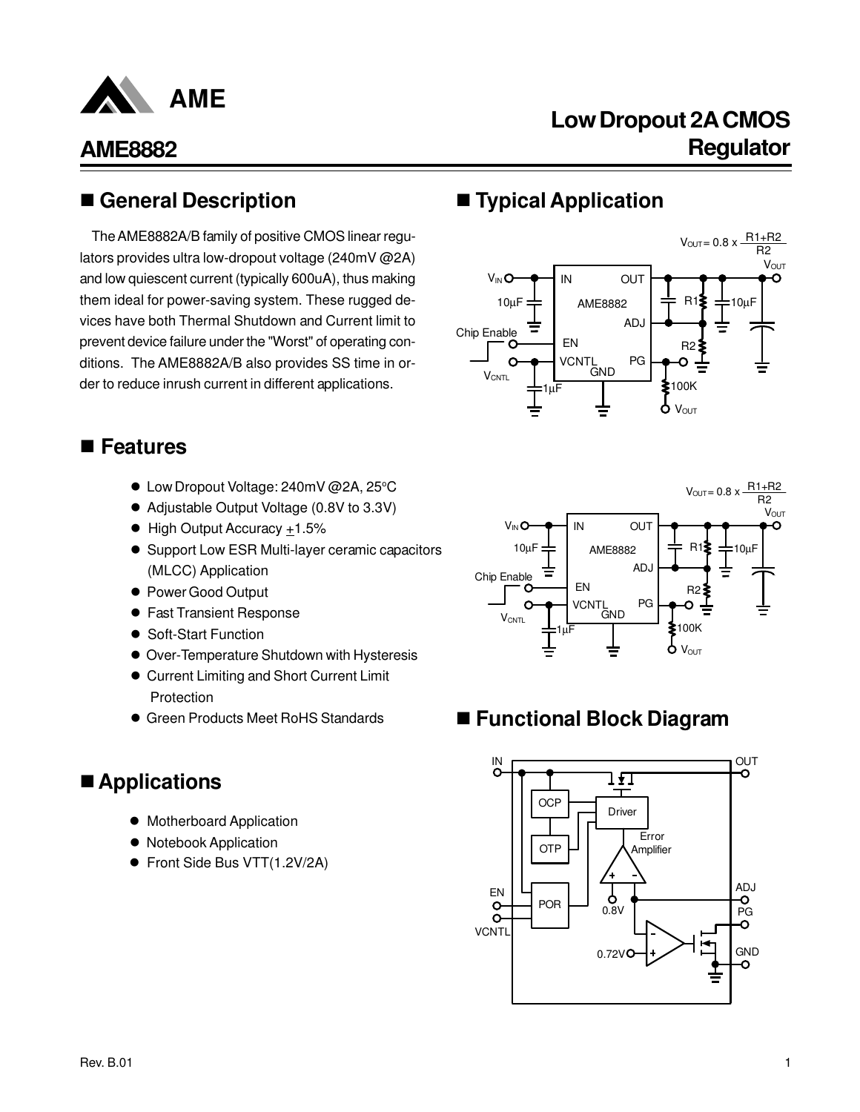

# **Low Dropout 2A CMOS Regulator**

### n **General Description**

The AME8882A/B family of positive CMOS linear regulators provides ultra low-dropout voltage (240mV @2A) and low quiescent current (typically 600uA), thus making them ideal for power-saving system. These rugged devices have both Thermal Shutdown and Current limit to prevent device failure under the "Worst" of operating conditions. The AME8882A/B also provides SS time in order to reduce inrush current in different applications.

### ■ Features

- Low Dropout Voltage: 240mV @2A, 25°C
- Adjustable Output Voltage (0.8V to 3.3V)
- $\bullet$  High Output Accuracy +1.5%
- Support Low ESR Multi-layer ceramic capacitors (MLCC) Application
- Power Good Output
- **Fast Transient Response**
- **Soft-Start Function**
- **Over-Temperature Shutdown with Hysteresis**
- **Current Limiting and Short Current Limit Protection**
- **Green Products Meet RoHS Standards**

### ■ Applications

- $\bullet$  Motherboard Application
- Notebook Application
- Front Side Bus VTT(1.2V/2A)

## n **Typical Application**





### ■ Functional Block Diagram

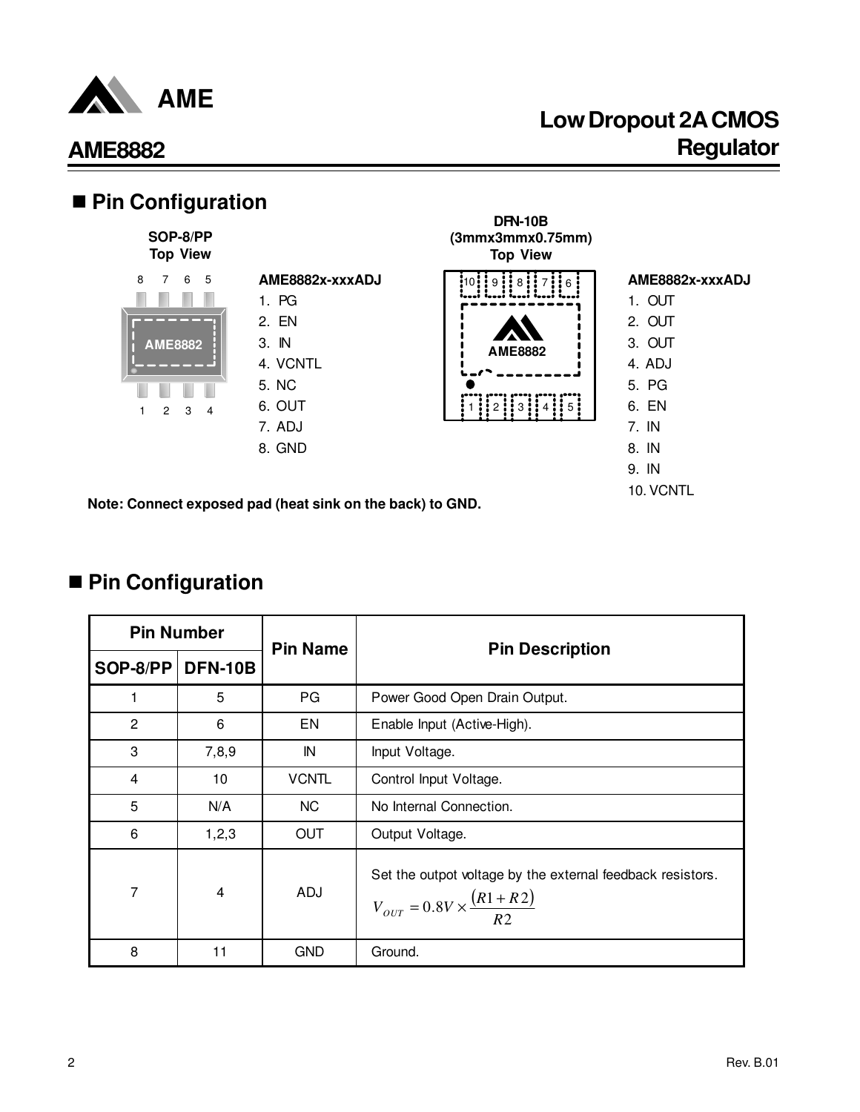

# **Low Dropout 2A CMOS AME8882 Regulator**



■ Pin Configuration

|                | <b>Pin Number</b> | <b>Pin Name</b> | <b>Pin Description</b>                                                                                     |
|----------------|-------------------|-----------------|------------------------------------------------------------------------------------------------------------|
| $SOP-8/PP$     | <b>DFN-10B</b>    |                 |                                                                                                            |
|                | 5                 | PG              | Power Good Open Drain Output.                                                                              |
| $\mathbf{2}$   | 6                 | EN              | Enable Input (Active-High).                                                                                |
| 3              | 7,8,9             | IN              | Input Voltage.                                                                                             |
| $\overline{4}$ | 10                | <b>VCNTL</b>    | Control Input Voltage.                                                                                     |
| 5              | N/A               | NC.             | No Internal Connection.                                                                                    |
| 6              | 1, 2, 3           | OUT             | Output Voltage.                                                                                            |
| 7              | 4                 | ADJ             | Set the outpot voltage by the external feedback resistors.<br>$V_{OUT} = 0.8V \times \frac{(R1 + R2)}{R2}$ |
| 8              | 11                | <b>GND</b>      | Ground.                                                                                                    |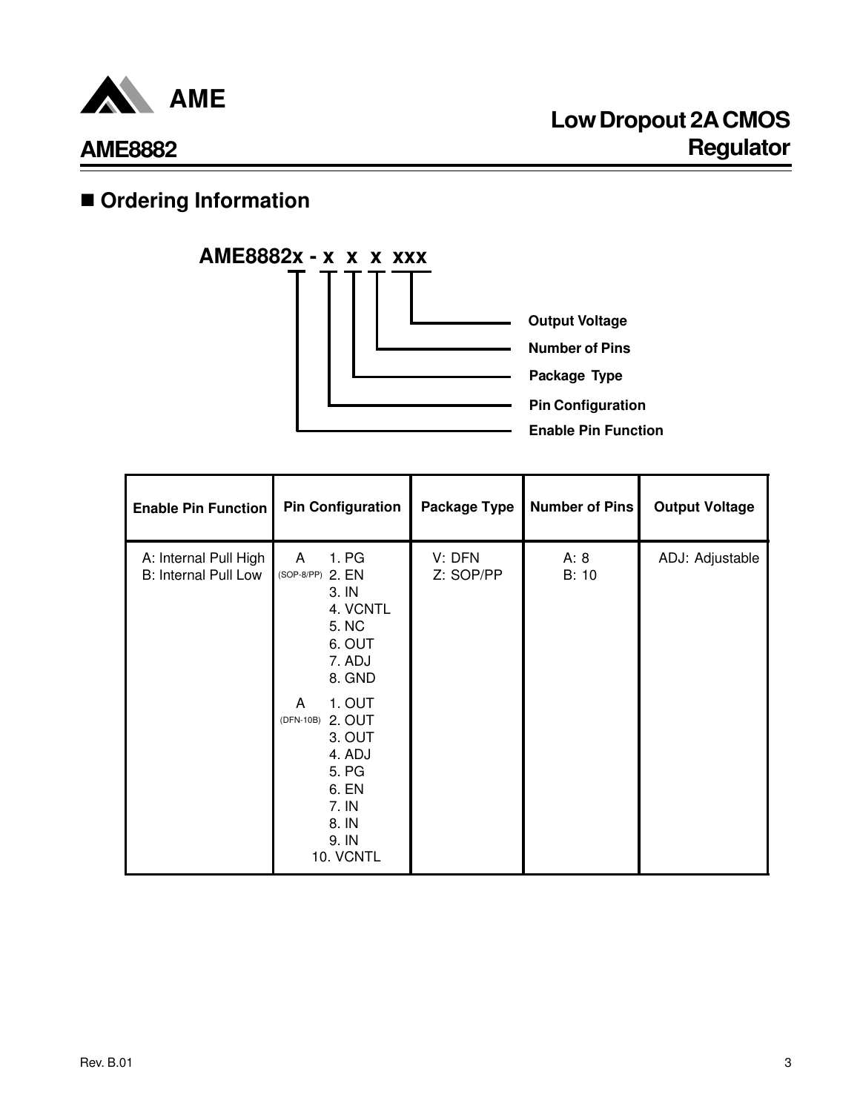

## **n** Ordering Information



| <b>Enable Pin Function</b>                           | <b>Pin Configuration</b>                                                                                                                                                                                       | Package Type        | <b>Number of Pins</b> | <b>Output Voltage</b> |
|------------------------------------------------------|----------------------------------------------------------------------------------------------------------------------------------------------------------------------------------------------------------------|---------------------|-----------------------|-----------------------|
| A: Internal Pull High<br><b>B: Internal Pull Low</b> | 1. PG<br>A<br>(SOP-8/PP) 2. EN<br>3. IN<br>4. VCNTL<br>5. NC<br>6. OUT<br>7. ADJ<br>8. GND<br>1. OUT<br>A<br>2. OUT<br>(DFN-10B)<br>3. OUT<br>4. ADJ<br>5. PG<br>6. EN<br>7. IN<br>8. IN<br>9. IN<br>10. VCNTL | V: DFN<br>Z: SOP/PP | A: 8<br>B: 10         | ADJ: Adjustable       |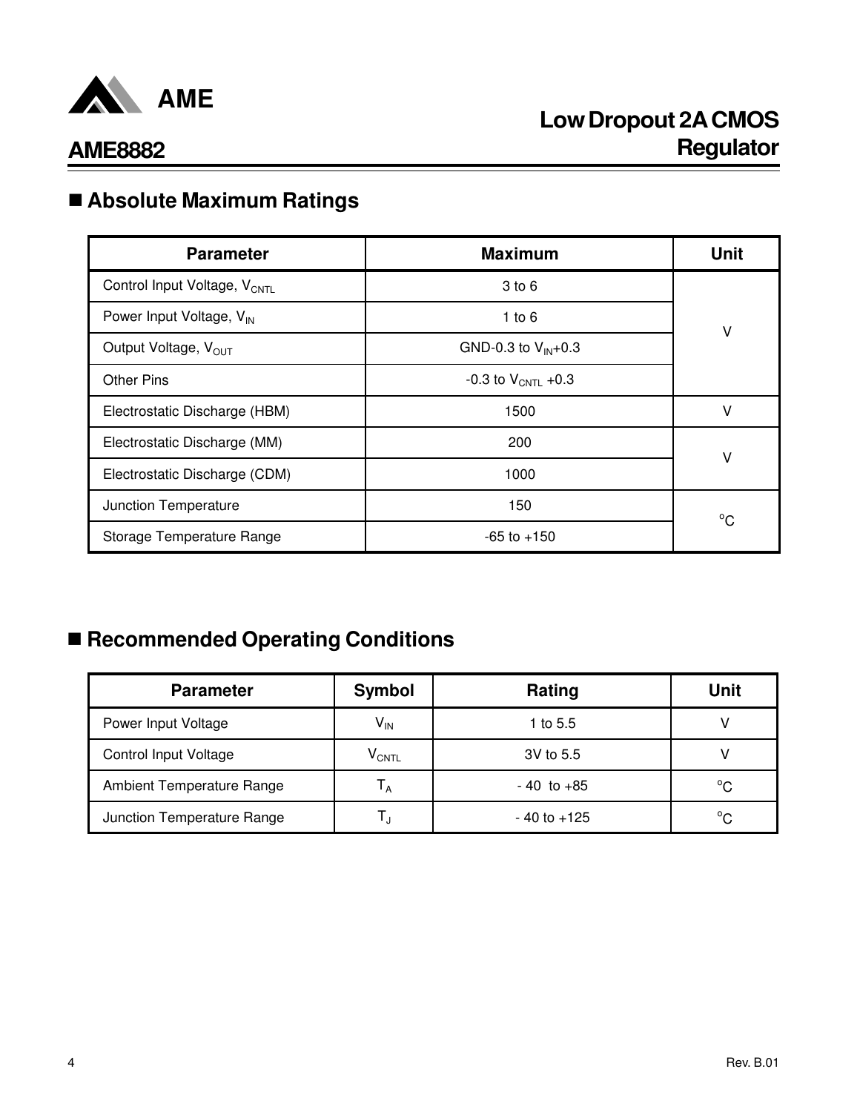

## n **Absolute Maximum Ratings**

| <b>Parameter</b>                         | <b>Maximum</b>          | <b>Unit</b>  |
|------------------------------------------|-------------------------|--------------|
| Control Input Voltage, V <sub>CNTL</sub> | $3$ to $6$              |              |
| Power Input Voltage, V <sub>IN</sub>     | 1 to $6$                | ٧            |
| Output Voltage, V <sub>OUT</sub>         | GND-0.3 to $V_{IN}+0.3$ |              |
| <b>Other Pins</b>                        | -0.3 to $V_{CNT1}$ +0.3 |              |
| Electrostatic Discharge (HBM)            | 1500                    | v            |
| Electrostatic Discharge (MM)             | 200                     | V            |
| Electrostatic Discharge (CDM)            | 1000                    |              |
| Junction Temperature                     | 150                     | $^{\circ}$ C |
| Storage Temperature Range                | $-65$ to $+150$         |              |

# n **Recommended Operating Conditions**

| <b>Parameter</b>             | <b>Symbol</b>                | Rating          | <b>Unit</b>  |
|------------------------------|------------------------------|-----------------|--------------|
| Power Input Voltage          | $\mathsf{V}_{\mathsf{IN}}$   | 1 to 5.5        |              |
| <b>Control Input Voltage</b> | $\mathsf{V}_{\mathsf{CNTL}}$ | 3V to 5.5       |              |
| Ambient Temperature Range    | ΙA                           | $-40$ to $+85$  | °C           |
| Junction Temperature Range   |                              | $-40$ to $+125$ | $^{\circ}$ C |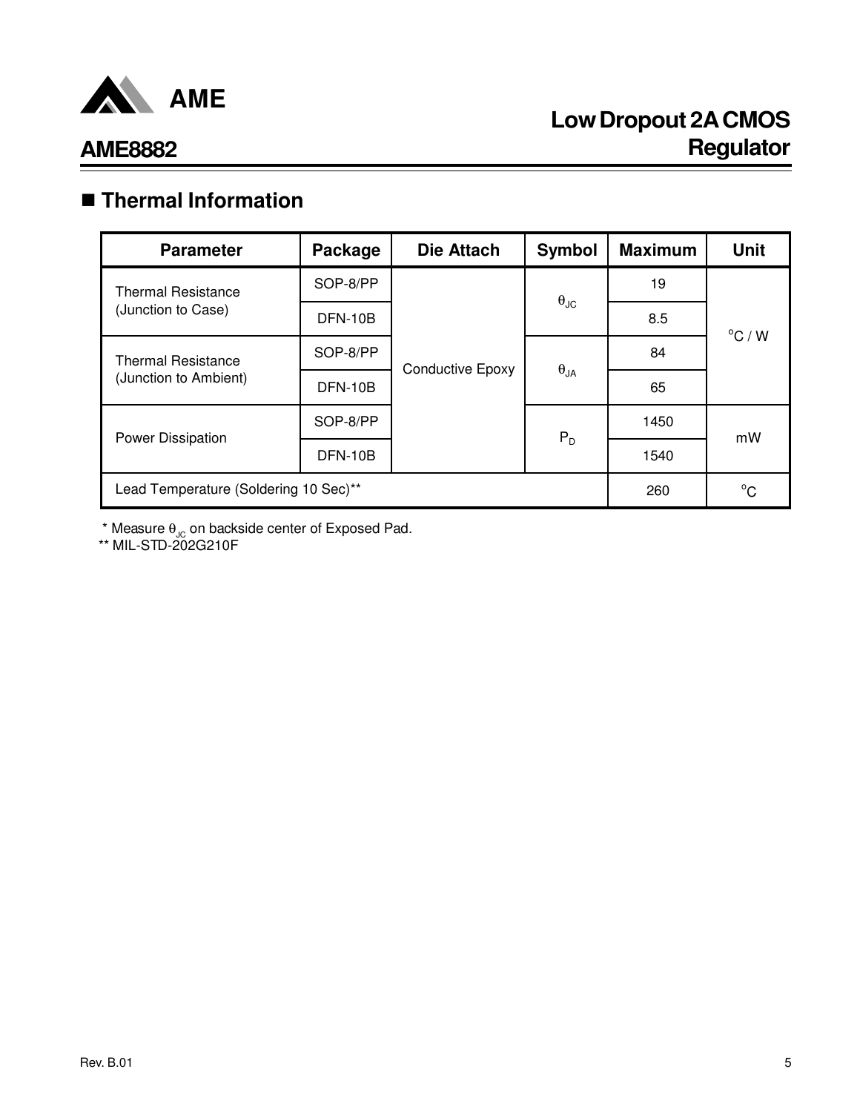

# **Low Dropout 2A CMOS Regulator**

### **AME8882**

## n **Thermal Information**

| <b>Parameter</b>                      | Package  | <b>Die Attach</b>       | <b>Symbol</b>        | <b>Maximum</b> | <b>Unit</b>      |  |
|---------------------------------------|----------|-------------------------|----------------------|----------------|------------------|--|
| <b>Thermal Resistance</b>             | SOP-8/PP |                         |                      | 19             |                  |  |
| (Junction to Case)                    | DFN-10B  |                         | $\theta_{\text{JC}}$ | 8.5            | $^{\circ}$ C / W |  |
| <b>Thermal Resistance</b>             | SOP-8/PP | <b>Conductive Epoxy</b> | $\theta_{JA}$        | 84             |                  |  |
| (Junction to Ambient)                 | DFN-10B  |                         |                      | 65             |                  |  |
| Power Dissipation                     | SOP-8/PP |                         | $P_D$                | 1450           | mW               |  |
|                                       | DFN-10B  |                         |                      | 1540           |                  |  |
| Lead Temperature (Soldering 10 Sec)** | 260      | $^{\circ}C$             |                      |                |                  |  |

 $^{\star}$  Measure  $\theta_{\text{JC}}$  on backside center of Exposed Pad.

\*\* MIL-STD-202G210F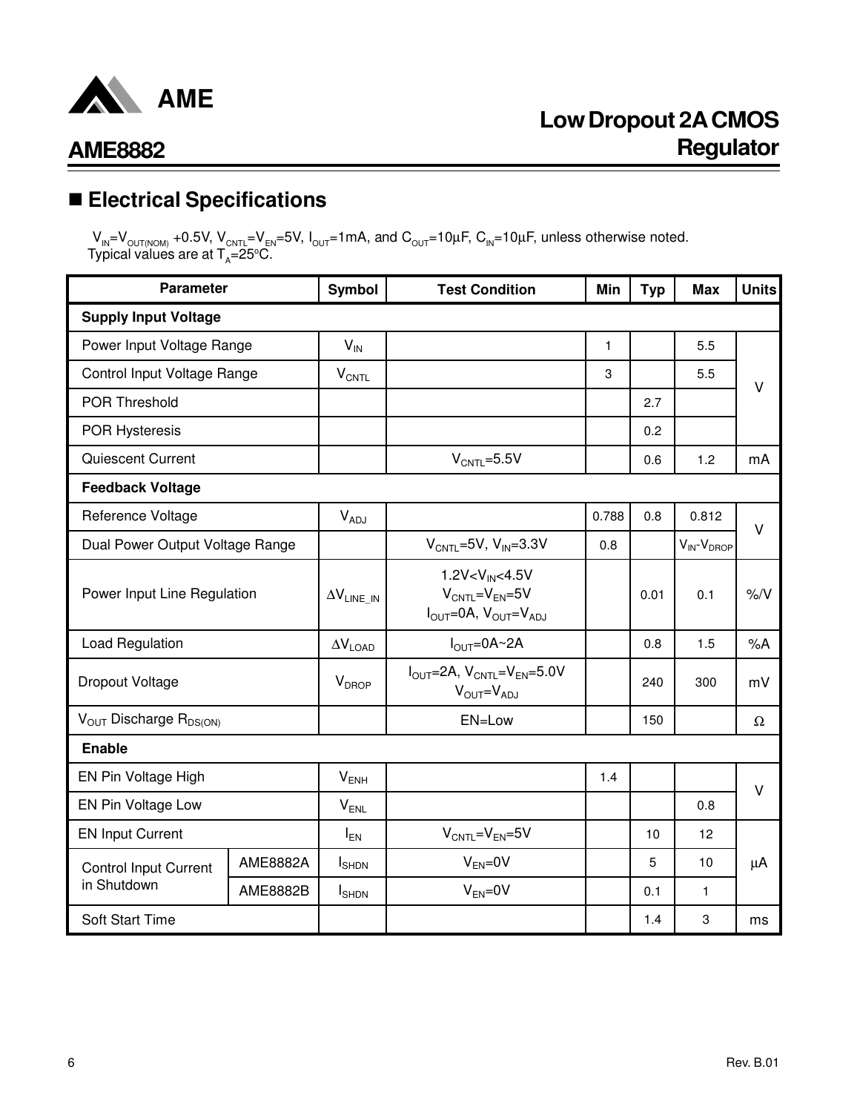

## n **Electrical Specifications**

 ${\sf V}_{\sf IN}$ = ${\sf V}_{\sf OUT(NOM)}$  +0.5V,  ${\sf V}_{\sf CNTL}$ = ${\sf V}_{\sf EN}$ =5V, I<sub>OUT</sub>=1mA, and  ${\sf C}_{\sf OUT}$ =10µF,  ${\sf C}_{\sf IN}$ =10µF, unless otherwise noted. Typical values are at T $_{\rm A}$ =25°C.

| <b>Parameter</b>                            |                 | Symbol                     | <b>Test Condition</b>                                                                                           | Min          | <b>Typ</b> | <b>Max</b>            | <b>Units</b>  |
|---------------------------------------------|-----------------|----------------------------|-----------------------------------------------------------------------------------------------------------------|--------------|------------|-----------------------|---------------|
| <b>Supply Input Voltage</b>                 |                 |                            |                                                                                                                 |              |            |                       |               |
| Power Input Voltage Range                   |                 | $V_{IN}$                   |                                                                                                                 | $\mathbf{1}$ |            | 5.5                   |               |
| Control Input Voltage Range                 |                 | $V_{\text{CNTL}}$          |                                                                                                                 | 3            |            | 5.5                   | $\vee$        |
| POR Threshold                               |                 |                            |                                                                                                                 |              | 2.7        |                       |               |
| <b>POR Hysteresis</b>                       |                 |                            |                                                                                                                 |              | 0.2        |                       |               |
| Quiescent Current                           |                 |                            | $V_{CNTL} = 5.5V$                                                                                               |              | 0.6        | 1.2                   | mA            |
| <b>Feedback Voltage</b>                     |                 |                            |                                                                                                                 |              |            |                       |               |
| Reference Voltage                           |                 | $V_{ADJ}$                  |                                                                                                                 | 0.788        | 0.8        | 0.812                 | $\vee$        |
| Dual Power Output Voltage Range             |                 |                            | $V_{CNTL} = 5V$ , $V_{IN} = 3.3V$                                                                               | 0.8          |            | $V_{IN}$ - $V_{DROP}$ |               |
| Power Input Line Regulation                 |                 | $\Delta V_{LINE\_IN}$      | $1.2V < V_{IN} < 4.5V$<br>$V_{CNTL} = V_{EN} = 5V$<br>$I_{\text{OUT}} = 0A$ , $V_{\text{OUT}} = V_{\text{ADJ}}$ |              | 0.01       | 0.1                   | $\frac{9}{6}$ |
| Load Regulation                             |                 | $\Delta\rm{V}_{\rm{LOAD}}$ | $I_{\text{OUT}} = 0A - 2A$                                                                                      |              | 0.8        | 1.5                   | %A            |
| Dropout Voltage                             |                 | V <sub>DROP</sub>          | $I_{\text{OUT}}=2A, V_{\text{CNTL}}=V_{\text{EN}}=5.0V$<br>$V_{OUT} = V_{ADJ}$                                  |              | 240        | 300                   | mV            |
| $V_{OUT}$ Discharge $R_{DS(ON)}$            |                 |                            | EN=Low                                                                                                          |              | 150        |                       | Ω             |
| <b>Enable</b>                               |                 |                            |                                                                                                                 |              |            |                       |               |
| EN Pin Voltage High                         |                 | $V_{ENH}$                  |                                                                                                                 | 1.4          |            |                       | $\vee$        |
| EN Pin Voltage Low                          |                 | $V_{ENL}$                  |                                                                                                                 |              |            | 0.8                   |               |
| <b>EN Input Current</b>                     |                 | $I_{EN}$                   | $V_{\text{CNTL}} = V_{\text{EN}} = 5V$                                                                          |              | 10         | 12                    |               |
| <b>Control Input Current</b><br>in Shutdown | <b>AME8882A</b> | <b>I</b> SHDN              | $V_{EN} = 0V$                                                                                                   |              | 5          | 10                    | $\mu$ A       |
|                                             | <b>AME8882B</b> | $I_{\text{SHDN}}$          | $V_{EN} = 0V$                                                                                                   |              | 0.1        | $\mathbf{1}$          |               |
| Soft Start Time                             |                 |                            |                                                                                                                 |              | 1.4        | 3                     | ms            |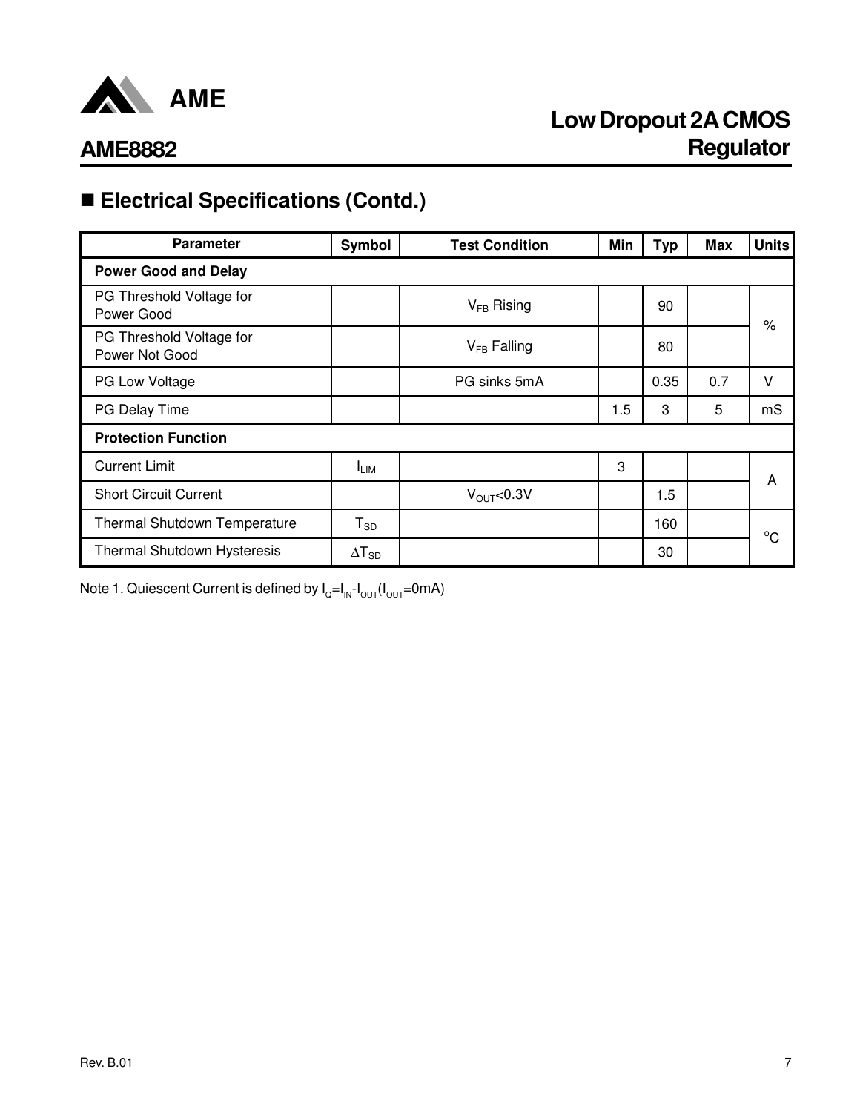

# ■ Electrical Specifications (Contd.)

| <b>Parameter</b>                           | Symbol           | <b>Test Condition</b> | Min | <b>Typ</b> | Max | <b>Units</b> |
|--------------------------------------------|------------------|-----------------------|-----|------------|-----|--------------|
| <b>Power Good and Delay</b>                |                  |                       |     |            |     |              |
| PG Threshold Voltage for<br>Power Good     |                  | $V_{FB}$ Rising       |     | 90         |     | $\%$         |
| PG Threshold Voltage for<br>Power Not Good |                  | $V_{FB}$ Falling      |     | 80         |     |              |
| PG Low Voltage                             |                  | PG sinks 5mA          |     | 0.35       | 0.7 | v            |
| PG Delay Time                              |                  |                       | 1.5 | 3          | 5   | mS           |
| <b>Protection Function</b>                 |                  |                       |     |            |     |              |
| <b>Current Limit</b>                       | <sup>I</sup> LIM |                       | 3   |            |     | A            |
| <b>Short Circuit Current</b>               |                  | $V_{\text{OUT}}<0.3V$ |     | 1.5        |     |              |
| <b>Thermal Shutdown Temperature</b>        | $T_{SD}$         |                       |     | 160        |     | $^{\circ}$ C |
| Thermal Shutdown Hysteresis                | $\Delta T_{SD}$  |                       |     | 30         |     |              |

Note 1. Quiescent Current is defined by l<sub>o</sub>=I<sub>IN</sub>-I<sub>ouT</sub>(I<sub>ouT</sub>=0mA)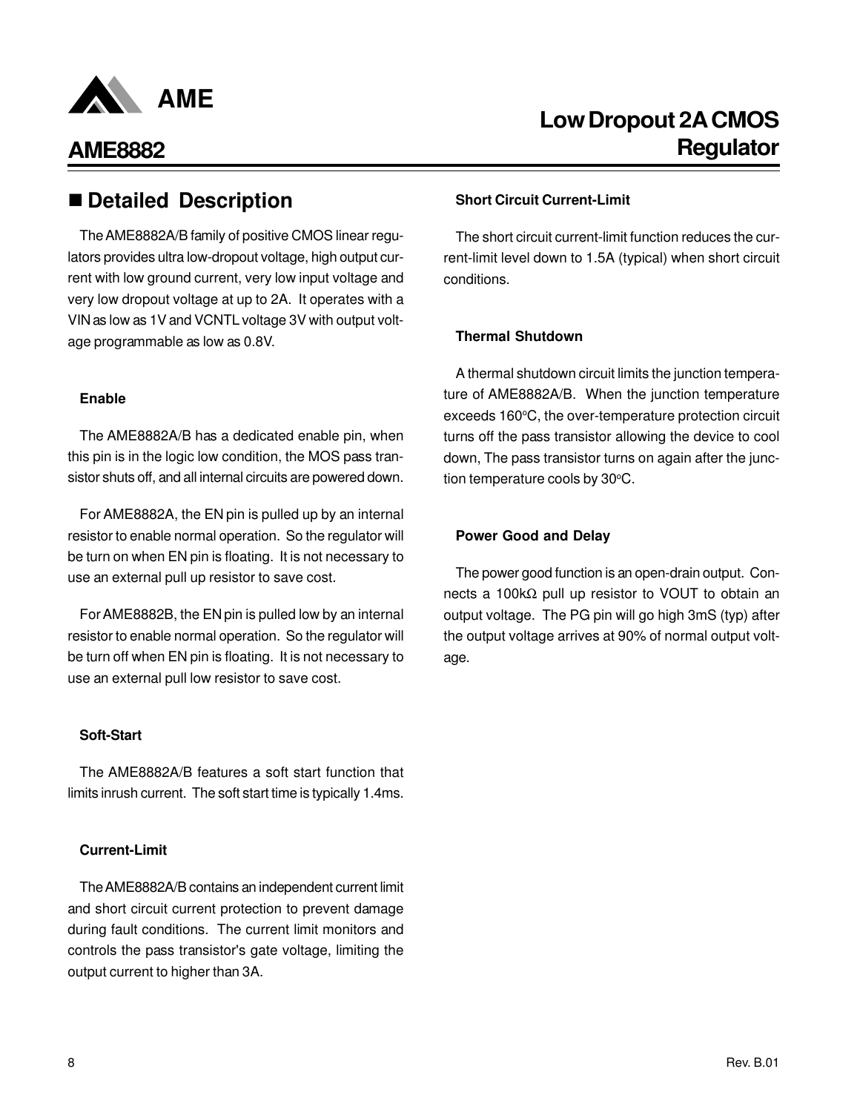

### ■ Detailed Description **■ Short Circuit Current-Limit**

The AME8882A/B family of positive CMOS linear regulators provides ultra low-dropout voltage, high output current with low ground current, very low input voltage and very low dropout voltage at up to 2A. It operates with a VIN as low as 1V and VCNTL voltage 3V with output voltage programmable as low as 0.8V.

### **Enable**

The AME8882A/B has a dedicated enable pin, when this pin is in the logic low condition, the MOS pass transistor shuts off, and all internal circuits are powered down.

For AME8882A, the EN pin is pulled up by an internal resistor to enable normal operation. So the regulator will be turn on when EN pin is floating. It is not necessary to use an external pull up resistor to save cost.

For AME8882B, the EN pin is pulled low by an internal resistor to enable normal operation. So the regulator will be turn off when EN pin is floating. It is not necessary to use an external pull low resistor to save cost.

### **Soft-Start**

The AME8882A/B features a soft start function that limits inrush current. The soft start time is typically 1.4ms.

### **Current-Limit**

The AME8882A/B contains an independent current limit and short circuit current protection to prevent damage during fault conditions. The current limit monitors and controls the pass transistor's gate voltage, limiting the output current to higher than 3A.

The short circuit current-limit function reduces the current-limit level down to 1.5A (typical) when short circuit conditions.

### **Thermal Shutdown**

A thermal shutdown circuit limits the junction temperature of AME8882A/B. When the junction temperature exceeds 160°C, the over-temperature protection circuit turns off the pass transistor allowing the device to cool down, The pass transistor turns on again after the junction temperature cools by 30°C.

### **Power Good and Delay**

The power good function is an open-drain output. Connects a 100kΩ pull up resistor to VOUT to obtain an output voltage. The PG pin will go high 3mS (typ) after the output voltage arrives at 90% of normal output voltage.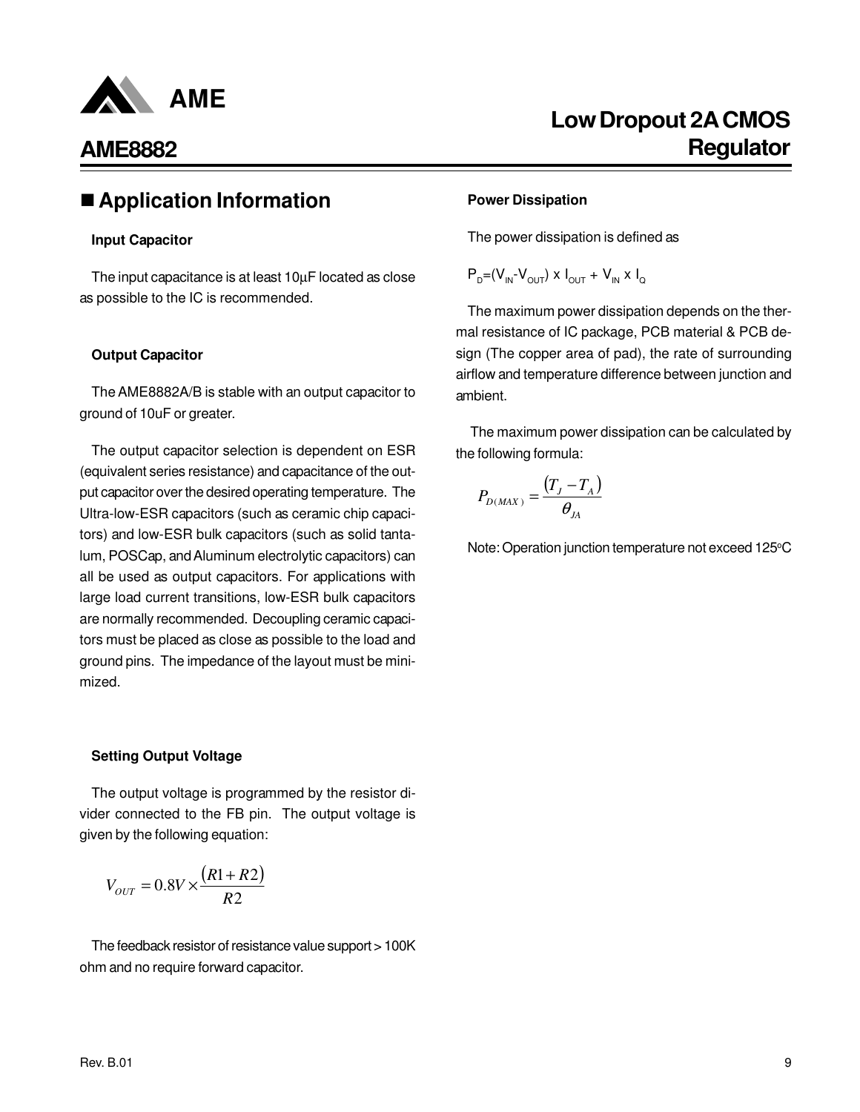

### n**Application Information**

### **Input Capacitor**

The input capacitance is at least 10µF located as close as possible to the IC is recommended.

### **Output Capacitor**

The AME8882A/B is stable with an output capacitor to ground of 10uF or greater.

The output capacitor selection is dependent on ESR (equivalent series resistance) and capacitance of the output capacitor over the desired operating temperature. The Ultra-low-ESR capacitors (such as ceramic chip capacitors) and low-ESR bulk capacitors (such as solid tantalum, POSCap, and Aluminum electrolytic capacitors) can all be used as output capacitors. For applications with large load current transitions, low-ESR bulk capacitors are normally recommended. Decoupling ceramic capacitors must be placed as close as possible to the load and ground pins. The impedance of the layout must be minimized.

### **Setting Output Voltage**

The output voltage is programmed by the resistor divider connected to the FB pin. The output voltage is given by the following equation:

$$
V_{OUT} = 0.8V \times \frac{(R1 + R2)}{R2}
$$

The feedback resistor of resistance value support > 100K ohm and no require forward capacitor.

## **Low Dropout 2A CMOS Regulator**

### **Power Dissipation**

The power dissipation is defined as

 $P_{D} = (V_{IN} - V_{OUT}) \times I_{OUT} + V_{IN} \times I_{Q}$ 

The maximum power dissipation depends on the thermal resistance of IC package, PCB material & PCB design (The copper area of pad), the rate of surrounding airflow and temperature difference between junction and ambient.

The maximum power dissipation can be calculated by the following formula:

$$
P_{D(MAX)} = \frac{(T_J - T_A)}{\theta_M}
$$

Note: Operation junction temperature not exceed 125°C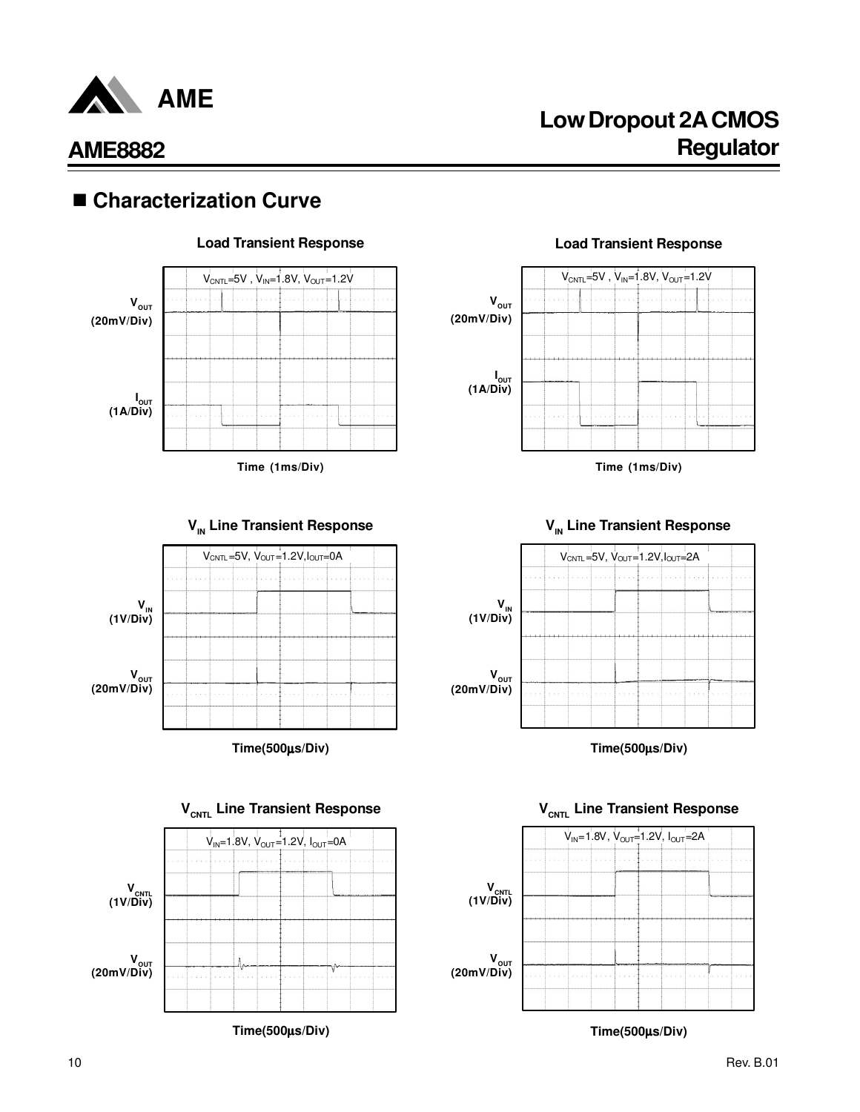

# **Low Dropout 2A CMOS AME8882 Regulator**

## ■ Characterization Curve



### **Load Transient Response Load Transient Response**







**Time(500**µ**s/Div)**



**Time(500**µ**s/Div)**



**Time(500**µ**s/Div)**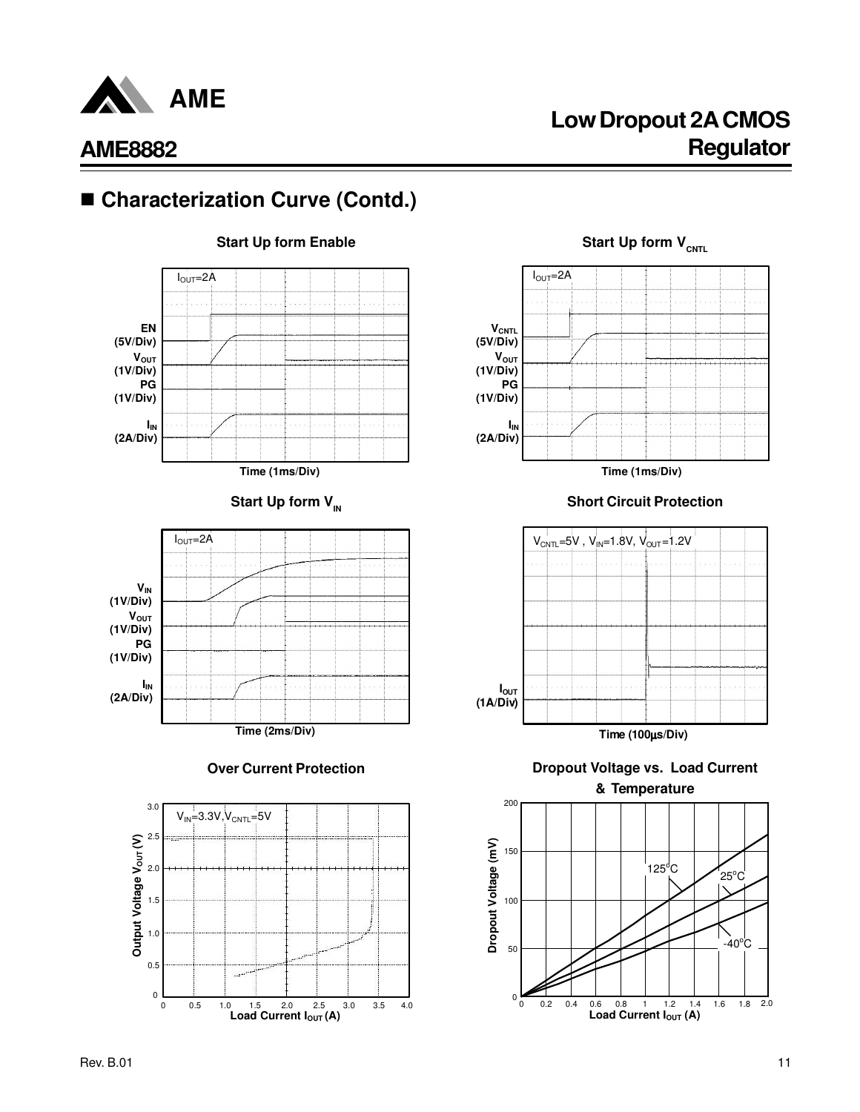

## **Low Dropout 2A CMOS Regulator**

# ■ Characterization Curve (Contd.)







**VCNTL (5V/Div)**  $I_{\text{OUT}}=2A$ 

 $V_{OUT}$ **(1V/Div) PG (1V/Div)**

**IIN (2A/Div)**



**Over Current Protection Dropout Voltage vs. Load Current & Temperature**



**Start Up form Enable Start Up form V**<sup>CNTL</sup>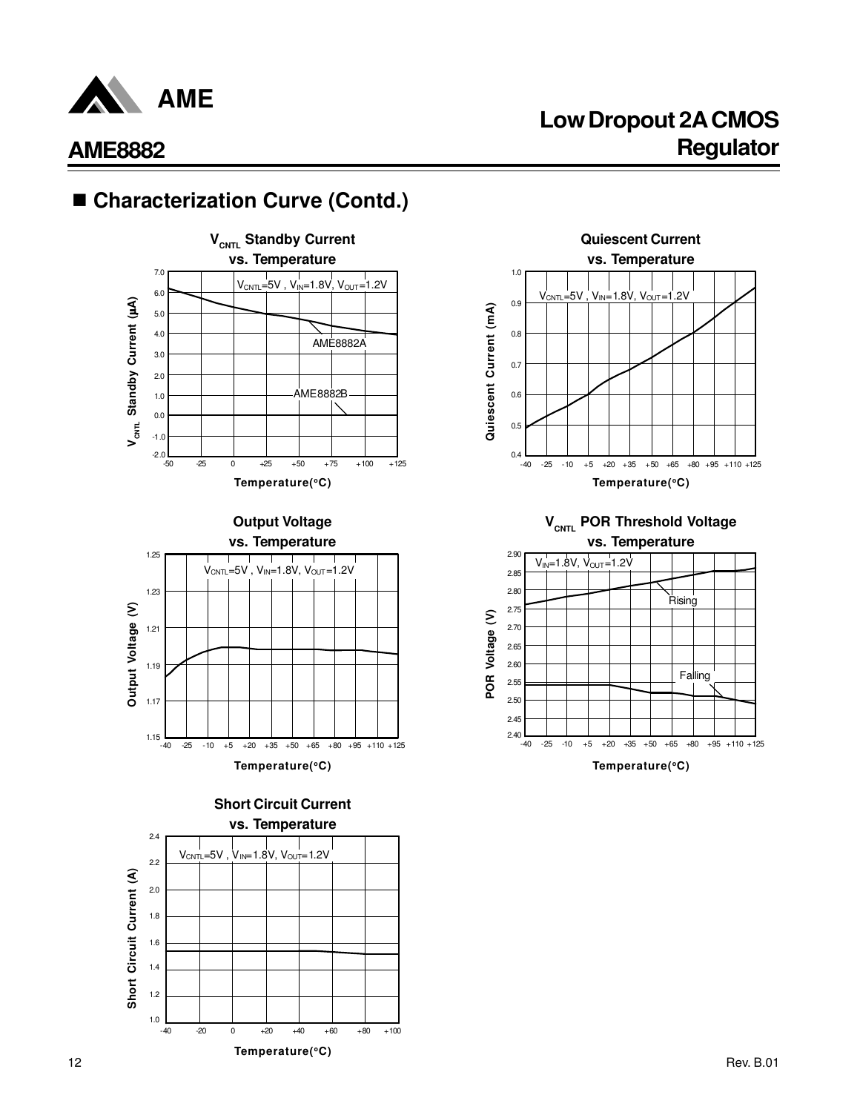

# **Low Dropout 2A CMOS AME8882 Regulator**

# ■ Characterization Curve (Contd.)





**Temperature(<sup>o</sup>C)**

**Short Circuit Current**





**VCNTL POR Threshold Voltage vs. Temperature**



**Temperature(<sup>o</sup>C)**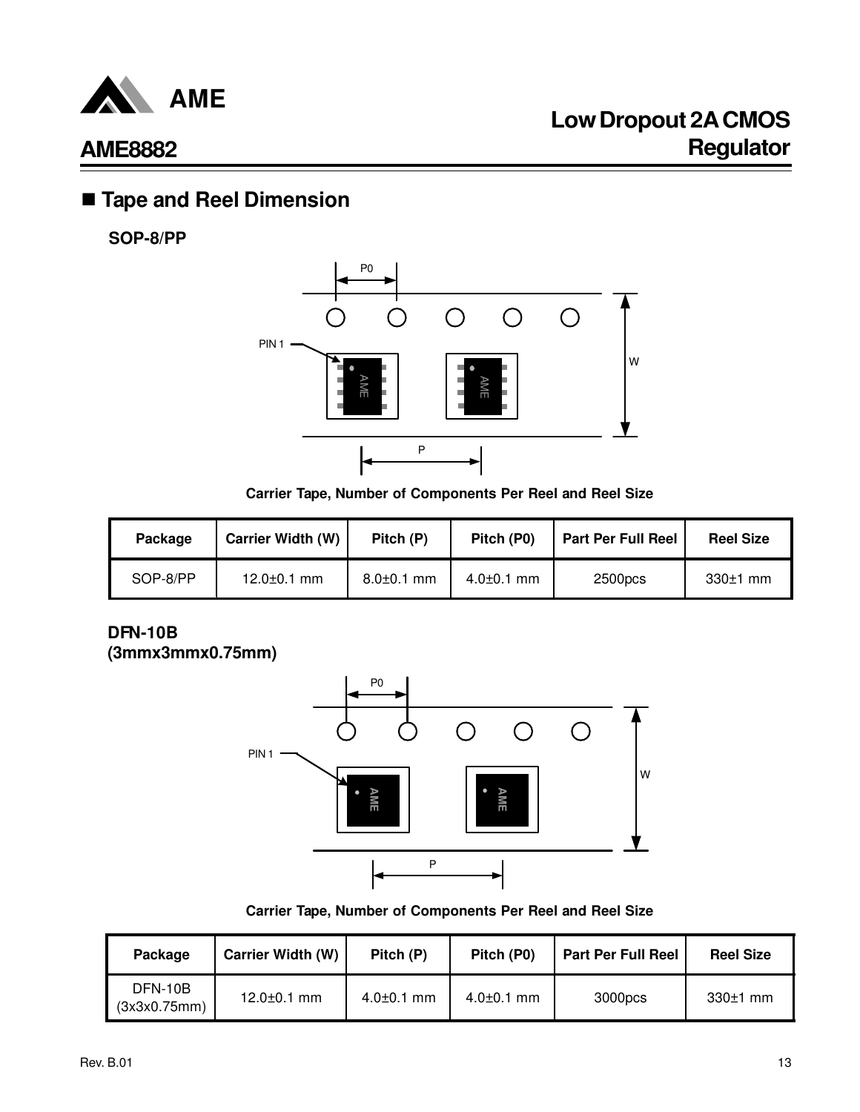

## n **Tape and Reel Dimension**

**SOP-8/PP**



**Carrier Tape, Number of Components Per Reel and Reel Size**

| Package  | <b>Carrier Width (W)</b> | Pitch (P)        | Pitch (P0)       | <b>Part Per Full Reel</b> | <b>Reel Size</b> |
|----------|--------------------------|------------------|------------------|---------------------------|------------------|
| SOP-8/PP | $12.0 \pm 0.1$ mm        | $8.0 \pm 0.1$ mm | $4.0 \pm 0.1$ mm | 2500pcs                   | $330±1$ mm       |

### **DFN-10B (3mmx3mmx0.75mm)**



**Carrier Tape, Number of Components Per Reel and Reel Size**

| Package                 | <b>Carrier Width (W)</b> | Pitch (P)        | Pitch (P0)       | <b>Part Per Full Reel</b> | <b>Reel Size</b> |
|-------------------------|--------------------------|------------------|------------------|---------------------------|------------------|
| DFN-10B<br>(3x3x0.75mm) | $12.0 \pm 0.1$ mm        | $4.0 \pm 0.1$ mm | $4.0{\pm}0.1$ mm | 3000pcs                   | $330±1$ mm       |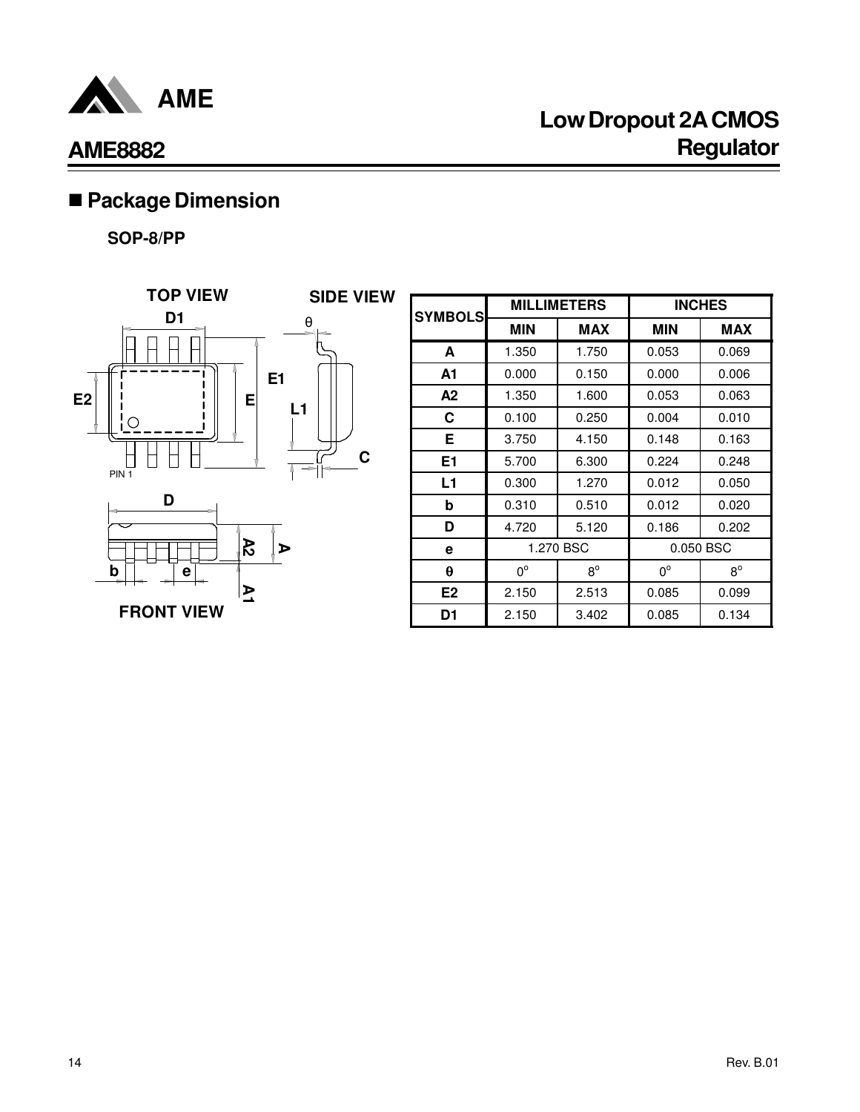

# n **Package Dimension**

**SOP-8/PP**



| <b>SYMBOLS</b> |             | <b>MILLIMETERS</b>     |             | <b>INCHES</b> |
|----------------|-------------|------------------------|-------------|---------------|
|                | <b>MIN</b>  | <b>MAX</b>             | <b>MIN</b>  | <b>MAX</b>    |
| A              | 1.350       | 1.750                  | 0.053       | 0.069         |
| A1             | 0.000       | 0.150                  | 0.000       | 0.006         |
| А2             | 1.350       | 1.600                  | 0.053       | 0.063         |
| C              | 0.100       | 0.250                  | 0.004       | 0.010         |
| Е              | 3.750       | 4.150                  | 0.148       | 0.163         |
| E1             | 5.700       | 6.300                  | 0.224       | 0.248         |
| L1             | 0.300       | 1.270                  | 0.012       | 0.050         |
| b              | 0.310       | 0.510                  | 0.012       | 0.020         |
| D              | 4.720       | 5.120                  | 0.186       | 0.202         |
| e              |             | 1.270 BSC<br>0.050 BSC |             |               |
| θ              | $0^{\circ}$ | $8^{\circ}$            | $0^{\circ}$ | $8^{\circ}$   |
| E <sub>2</sub> | 2.150       | 2.513                  | 0.085       | 0.099         |
| D1             | 2.150       | 3.402                  | 0.085       | 0.134         |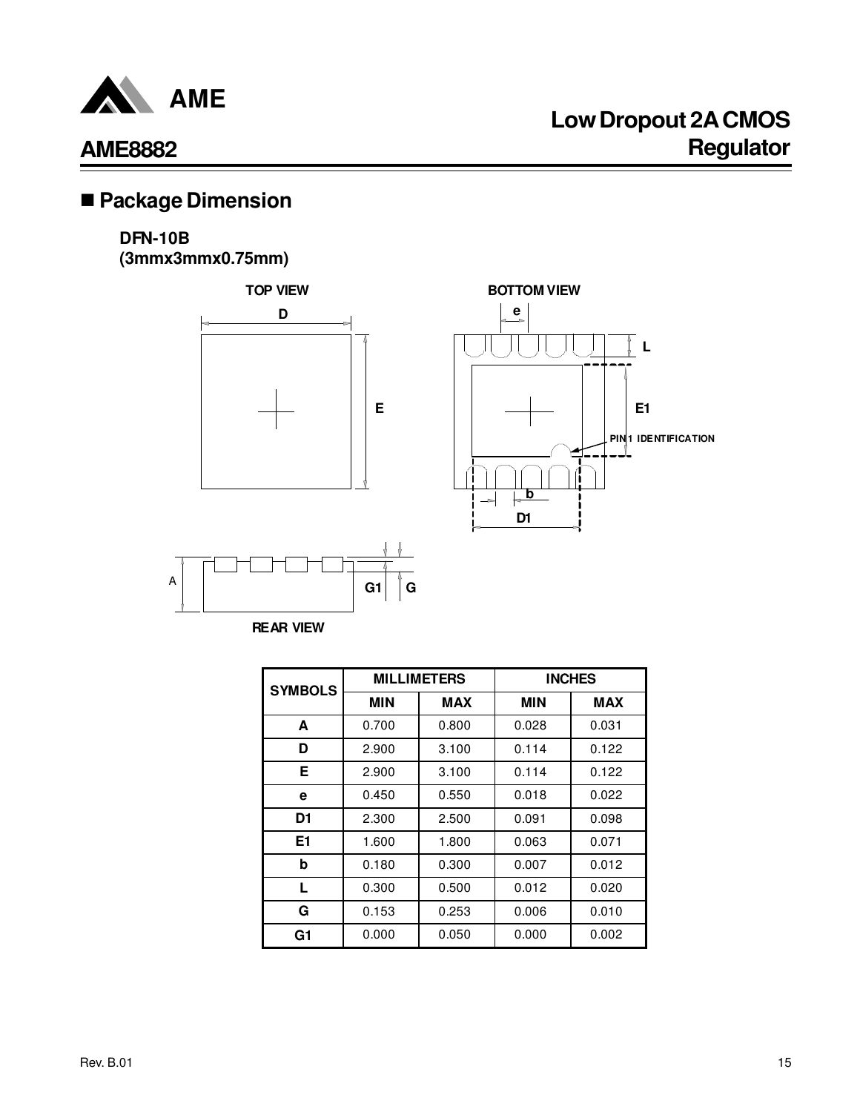

# n **Package Dimension**

### **DFN-10B**

**(3mmx3mmx0.75mm)**





**REAR VIEW**

| <b>SYMBOLS</b> |       | <b>MILLIMETERS</b> | <b>INCHES</b> |            |  |
|----------------|-------|--------------------|---------------|------------|--|
|                | MIN   | <b>MAX</b>         | MIN           | <b>MAX</b> |  |
| A              | 0.700 | 0.800              | 0.028         | 0.031      |  |
| D              | 2.900 | 3.100              | 0.114         | 0.122      |  |
| Е              | 2.900 | 3.100              | 0.114         | 0.122      |  |
| e              | 0.450 | 0.550              | 0.018         | 0.022      |  |
| D1             | 2.300 | 2.500              | 0.091         | 0.098      |  |
| E1             | 1.600 | 1.800              | 0.063         | 0.071      |  |
| b              | 0.180 | 0.300              | 0.007         | 0.012      |  |
| L              | 0.300 | 0.500              | 0.012         | 0.020      |  |
| G              | 0.153 | 0.253              | 0.006         | 0.010      |  |
| G1             | 0.000 | 0.050              | 0.000         | 0.002      |  |